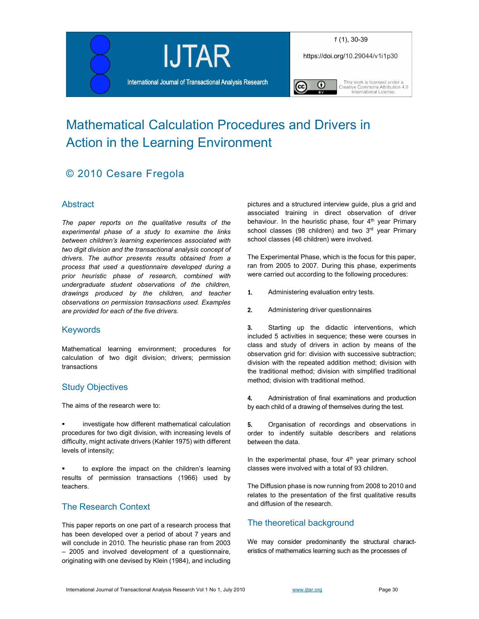

# Mathematical Calculation Procedures and Drivers in Action in the Learning Environment

## © 2010 Cesare Fregola

## **Abstract**

The paper reports on the qualitative results of the experimental phase of a study to examine the links between children's learning experiences associated with two digit division and the transactional analysis concept of drivers. The author presents results obtained from a process that used a questionnaire developed during a prior heuristic phase of research, combined with undergraduate student observations of the children, drawings produced by the children, and teacher observations on permission transactions used. Examples are provided for each of the five drivers.

## Keywords

Mathematical learning environment; procedures for calculation of two digit division; drivers; permission transactions

## Study Objectives

The aims of the research were to:

 investigate how different mathematical calculation procedures for two digit division, with increasing levels of difficulty, might activate drivers (Kahler 1975) with different levels of intensity;

 to explore the impact on the children's learning results of permission transactions (1966) used by teachers.

## The Research Context

This paper reports on one part of a research process that has been developed over a period of about 7 years and will conclude in 2010. The heuristic phase ran from 2003 – 2005 and involved development of a questionnaire, originating with one devised by Klein (1984), and including pictures and a structured interview guide, plus a grid and associated training in direct observation of driver behaviour. In the heuristic phase, four  $4<sup>th</sup>$  year Primary school classes (98 children) and two 3<sup>rd</sup> year Primary school classes (46 children) were involved.

The Experimental Phase, which is the focus for this paper, ran from 2005 to 2007. During this phase, experiments were carried out according to the following procedures:

- 1. Administering evaluation entry tests.
- 2. Administering driver questionnaires

**3.** Starting up the didactic interventions, which included 5 activities in sequence; these were courses in class and study of drivers in action by means of the observation grid for: division with successive subtraction; division with the repeated addition method; division with the traditional method; division with simplified traditional method; division with traditional method.

4. Administration of final examinations and production by each child of a drawing of themselves during the test.

**5.** Organisation of recordings and observations in order to indentify suitable describers and relations between the data.

In the experimental phase, four  $4<sup>th</sup>$  year primary school classes were involved with a total of 93 children.

The Diffusion phase is now running from 2008 to 2010 and relates to the presentation of the first qualitative results and diffusion of the research.

## The theoretical background

We may consider predominantly the structural characteristics of mathematics learning such as the processes of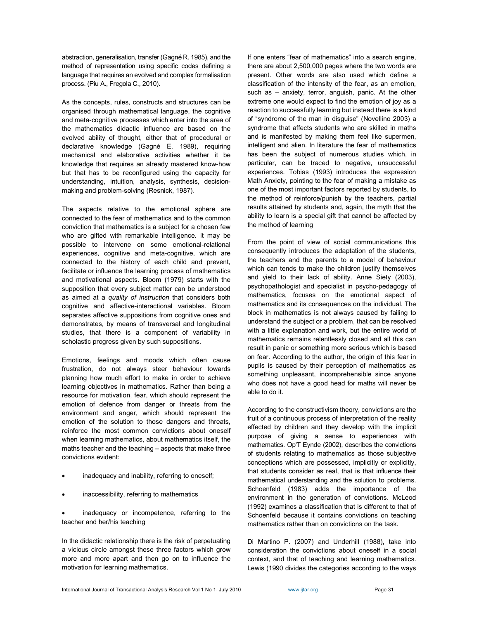abstraction, generalisation, transfer (Gagné R. 1985), and the method of representation using specific codes defining a language that requires an evolved and complex formalisation process. (Piu A., Fregola C., 2010).

As the concepts, rules, constructs and structures can be organised through mathematical language, the cognitive and meta-cognitive processes which enter into the area of the mathematics didactic influence are based on the evolved ability of thought, either that of procedural or declarative knowledge (Gagné E, 1989), requiring mechanical and elaborative activities whether it be knowledge that requires an already mastered know-how but that has to be reconfigured using the capacity for understanding, intuition, analysis, synthesis, decisionmaking and problem-solving (Resnick, 1987).

The aspects relative to the emotional sphere are connected to the fear of mathematics and to the common conviction that mathematics is a subject for a chosen few who are gifted with remarkable intelligence. It may be possible to intervene on some emotional-relational experiences, cognitive and meta-cognitive, which are connected to the history of each child and prevent, facilitate or influence the learning process of mathematics and motivational aspects. Bloom (1979) starts with the supposition that every subject matter can be understood as aimed at a quality of instruction that considers both cognitive and affective-interactional variables. Bloom separates affective suppositions from cognitive ones and demonstrates, by means of transversal and longitudinal studies, that there is a component of variability in scholastic progress given by such suppositions.

Emotions, feelings and moods which often cause frustration, do not always steer behaviour towards planning how much effort to make in order to achieve learning objectives in mathematics. Rather than being a resource for motivation, fear, which should represent the emotion of defence from danger or threats from the environment and anger, which should represent the emotion of the solution to those dangers and threats, reinforce the most common convictions about oneself when learning mathematics, about mathematics itself, the maths teacher and the teaching – aspects that make three convictions evident:

- inadequacy and inability, referring to oneself;
- inaccessibility, referring to mathematics

 inadequacy or incompetence, referring to the teacher and her/his teaching

In the didactic relationship there is the risk of perpetuating a vicious circle amongst these three factors which grow more and more apart and then go on to influence the motivation for learning mathematics.

If one enters "fear of mathematics" into a search engine, there are about 2,500,000 pages where the two words are present. Other words are also used which define a classification of the intensity of the fear, as an emotion, such as – anxiety, terror, anguish, panic. At the other extreme one would expect to find the emotion of joy as a reaction to successfully learning but instead there is a kind of "syndrome of the man in disguise" (Novellino 2003) a syndrome that affects students who are skilled in maths and is manifested by making them feel like supermen, intelligent and alien. In literature the fear of mathematics has been the subject of numerous studies which, in particular, can be traced to negative, unsuccessful experiences. Tobias (1993) introduces the expression Math Anxiety, pointing to the fear of making a mistake as one of the most important factors reported by students, to the method of reinforce/punish by the teachers, partial results attained by students and, again, the myth that the ability to learn is a special gift that cannot be affected by the method of learning

From the point of view of social communications this consequently introduces the adaptation of the students, the teachers and the parents to a model of behaviour which can tends to make the children justify themselves and yield to their lack of ability. Anne Siety (2003), psychopathologist and specialist in psycho-pedagogy of mathematics, focuses on the emotional aspect of mathematics and its consequences on the individual. The block in mathematics is not always caused by failing to understand the subject or a problem, that can be resolved with a little explanation and work, but the entire world of mathematics remains relentlessly closed and all this can result in panic or something more serious which is based on fear. According to the author, the origin of this fear in pupils is caused by their perception of mathematics as something unpleasant, incomprehensible since anyone who does not have a good head for maths will never be able to do it.

According to the constructivism theory, convictions are the fruit of a continuous process of interpretation of the reality effected by children and they develop with the implicit purpose of giving a sense to experiences with mathematics. Op'T Eynde (2002), describes the convictions of students relating to mathematics as those subjective conceptions which are possessed, implicitly or explicitly, that students consider as real, that is that influence their mathematical understanding and the solution to problems. Schoenfeld (1983) adds the importance of the environment in the generation of convictions. McLeod (1992) examines a classification that is different to that of Schoenfeld because it contains convictions on teaching mathematics rather than on convictions on the task.

Di Martino P. (2007) and Underhill (1988), take into consideration the convictions about oneself in a social context, and that of teaching and learning mathematics. Lewis (1990 divides the categories according to the ways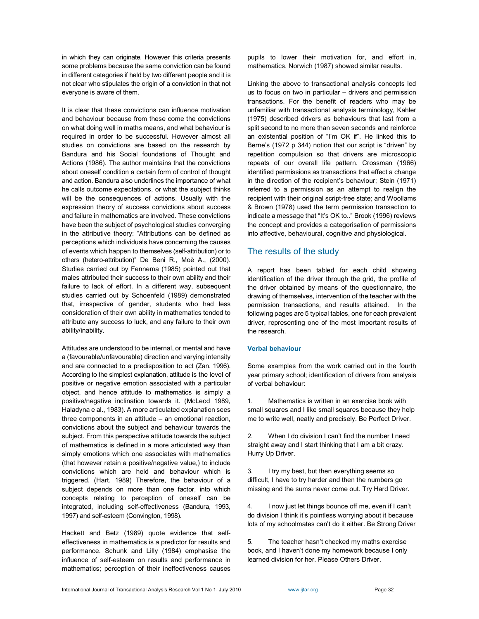in which they can originate. However this criteria presents some problems because the same conviction can be found in different categories if held by two different people and it is not clear who stipulates the origin of a conviction in that not everyone is aware of them.

It is clear that these convictions can influence motivation and behaviour because from these come the convictions on what doing well in maths means, and what behaviour is required in order to be successful. However almost all studies on convictions are based on the research by Bandura and his Social foundations of Thought and Actions (1986). The author maintains that the convictions about oneself condition a certain form of control of thought and action. Bandura also underlines the importance of what he calls outcome expectations, or what the subject thinks will be the consequences of actions. Usually with the expression theory of success convictions about success and failure in mathematics are involved. These convictions have been the subject of psychological studies converging in the attributive theory: "Attributions can be defined as perceptions which individuals have concerning the causes of events which happen to themselves (self-attribution) or to others (hetero-attribution)" De Beni R., Moè A., (2000). Studies carried out by Fennema (1985) pointed out that males attributed their success to their own ability and their failure to lack of effort. In a different way, subsequent studies carried out by Schoenfeld (1989) demonstrated that, irrespective of gender, students who had less consideration of their own ability in mathematics tended to attribute any success to luck, and any failure to their own ability/inability.

Attitudes are understood to be internal, or mental and have a (favourable/unfavourable) direction and varying intensity and are connected to a predisposition to act (Zan. 1996). According to the simplest explanation, attitude is the level of positive or negative emotion associated with a particular object, and hence attitude to mathematics is simply a positive/negative inclination towards it. (McLeod 1989, Haladyna e al., 1983). A more articulated explanation sees three components in an attitude – an emotional reaction, convictions about the subject and behaviour towards the subject. From this perspective attitude towards the subject of mathematics is defined in a more articulated way than simply emotions which one associates with mathematics (that however retain a positive/negative value,) to include convictions which are held and behaviour which is triggered. (Hart. 1989) Therefore, the behaviour of a subject depends on more than one factor, into which concepts relating to perception of oneself can be integrated, including self-effectiveness (Bandura, 1993, 1997) and self-esteem (Convington, 1998).

Hackett and Betz (1989) quote evidence that selfeffectiveness in mathematics is a predictor for results and performance. Schunk and Lilly (1984) emphasise the influence of self-esteem on results and performance in mathematics; perception of their ineffectiveness causes

pupils to lower their motivation for, and effort in, mathematics. Norwich (1987) showed similar results.

Linking the above to transactional analysis concepts led us to focus on two in particular – drivers and permission transactions. For the benefit of readers who may be unfamiliar with transactional analysis terminology, Kahler (1975) described drivers as behaviours that last from a split second to no more than seven seconds and reinforce an existential position of "I'm OK if". He linked this to Berne's (1972 p 344) notion that our script is "driven" by repetition compulsion so that drivers are microscopic repeats of our overall life pattern. Crossman (1966) identified permissions as transactions that effect a change in the direction of the recipient's behaviour; Stein (1971) referred to a permission as an attempt to realign the recipient with their original script-free state; and Woollams & Brown (1978) used the term permission transaction to indicate a message that "It's OK to.." Brook (1996) reviews the concept and provides a categorisation of permissions into affective, behavioural, cognitive and physiological.

#### The results of the study

A report has been tabled for each child showing identification of the driver through the grid, the profile of the driver obtained by means of the questionnaire, the drawing of themselves, intervention of the teacher with the permission transactions, and results attained. In the following pages are 5 typical tables, one for each prevalent driver, representing one of the most important results of the research.

#### Verbal behaviour

Some examples from the work carried out in the fourth year primary school; identification of drivers from analysis of verbal behaviour:

1. Mathematics is written in an exercise book with small squares and I like small squares because they help me to write well, neatly and precisely. Be Perfect Driver.

2. When I do division I can't find the number I need straight away and I start thinking that I am a bit crazy. Hurry Up Driver.

3. I try my best, but then everything seems so difficult, I have to try harder and then the numbers go missing and the sums never come out. Try Hard Driver.

4. I now just let things bounce off me, even if I can't do division I think it's pointless worrying about it because lots of my schoolmates can't do it either. Be Strong Driver

5. The teacher hasn't checked my maths exercise book, and I haven't done my homework because I only learned division for her. Please Others Driver.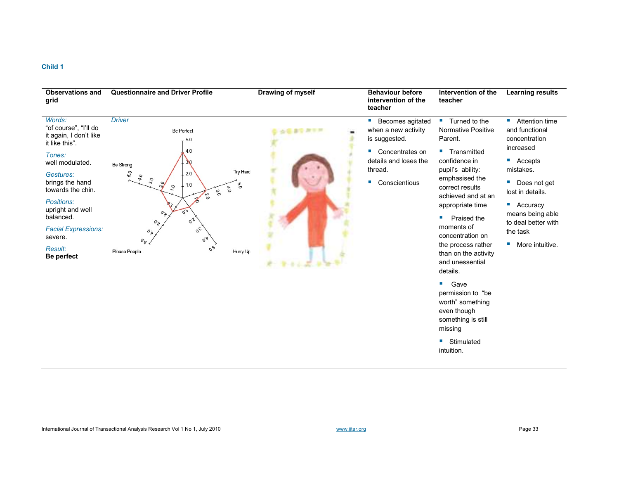| <b>Observations and</b><br>grid                                                                                                                                                                                                                                                       | <b>Questionnaire and Driver Profile</b>                                                                                                                                                                                                                                                                                                                                                                         | Drawing of myself | <b>Behaviour before</b><br>intervention of the<br>teacher                                                                                                                              | Intervention of the<br>teacher                                                                                                                                                                                                                                                                                                                                                                                                                                                                        | <b>Learning results</b>                                                                                                                                                                                                                                         |
|---------------------------------------------------------------------------------------------------------------------------------------------------------------------------------------------------------------------------------------------------------------------------------------|-----------------------------------------------------------------------------------------------------------------------------------------------------------------------------------------------------------------------------------------------------------------------------------------------------------------------------------------------------------------------------------------------------------------|-------------------|----------------------------------------------------------------------------------------------------------------------------------------------------------------------------------------|-------------------------------------------------------------------------------------------------------------------------------------------------------------------------------------------------------------------------------------------------------------------------------------------------------------------------------------------------------------------------------------------------------------------------------------------------------------------------------------------------------|-----------------------------------------------------------------------------------------------------------------------------------------------------------------------------------------------------------------------------------------------------------------|
| Words:<br>"of course", "I'll do<br>it again, I don't like<br>it like this".<br>Tones:<br>well modulated.<br>Gestures:<br>brings the hand<br>towards the chin.<br>Positions:<br>upright and well<br>balanced.<br><b>Facial Expressions:</b><br>severe.<br><b>Result:</b><br>Be perfect | <b>Driver</b><br><b>Be Perfect</b><br>5.0<br>4.0<br>30<br><b>Be Strong</b><br>Try Hard<br>5.0<br>2.0<br>4.0<br>30<br>$\tilde{\mathcal{C}}$<br>$\tilde{O}$<br>1.0<br>$\overline{v}$<br>$\mathfrak{g}^*$<br>3.0<br>2.0<br>$\alpha$<br>$o_{\geq}$<br>$\sigma^2$<br>$o_{\hat{\mathcal{E}}}$<br>$\sigma_{\rm o}$<br>$o_{\lambda}$<br>$\sigma_{\mathcal{A}}$<br>$o_{\mathcal{S}}$<br>0.6<br>Please People<br>Hurry Up |                   | Becomes agitated<br>ш<br>when a new activity<br>is suggested.<br>Concentrates on<br>$\blacksquare$<br>details and loses the<br>thread.<br>Conscientious<br>$\mathcal{L}_{\mathcal{A}}$ | ■ Turned to the<br><b>Normative Positive</b><br>Parent.<br><b>Transmitted</b><br>confidence in<br>pupil's ability:<br>emphasised the<br>correct results<br>achieved and at an<br>appropriate time<br>Praised the<br>ш<br>moments of<br>concentration on<br>the process rather<br>than on the activity<br>and unessential<br>details.<br>$\mathcal{L}_{\mathcal{A}}$<br>Gave<br>permission to "be<br>worth" something<br>even though<br>something is still<br>missing<br>Stimulated<br>ш<br>intuition. | ■ Attention time<br>and functional<br>concentration<br>increased<br>$\blacksquare$ Accepts<br>mistakes.<br>Does not get<br>lost in details.<br>$\blacksquare$ Accuracy<br>means being able<br>to deal better with<br>the task<br>$\blacksquare$ More intuitive. |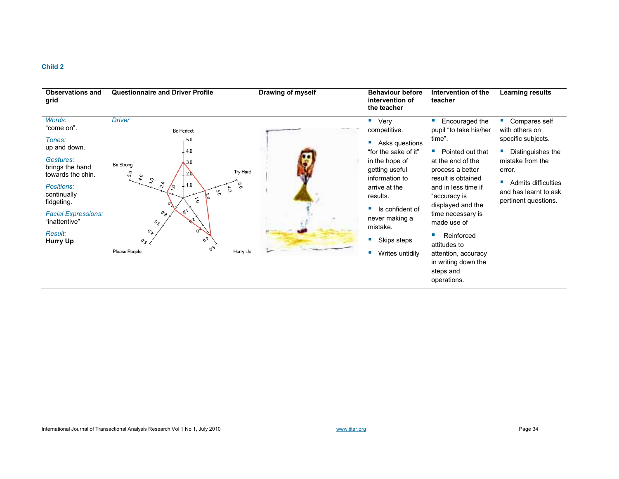| <b>Observations and</b><br>grid                                   | <b>Questionnaire and Driver Profile</b>                                                     | Drawing of myself | <b>Behaviour before</b><br>intervention of<br>the teacher                  | Intervention of the<br>teacher                                                         | <b>Learning results</b>                                              |
|-------------------------------------------------------------------|---------------------------------------------------------------------------------------------|-------------------|----------------------------------------------------------------------------|----------------------------------------------------------------------------------------|----------------------------------------------------------------------|
| Words:<br>"come on".<br>Tones:                                    | <b>Driver</b><br><b>Be Perfect</b><br>.5.0                                                  |                   | ■ Very<br>competitive.<br>Asks questions                                   | ш<br>Encouraged the<br>pupil "to take his/her<br>time".                                | Compares self<br>with others on<br>specific subjects.                |
| up and down.<br>Gestures:<br>brings the hand<br>towards the chin. | 4.0<br>3.0<br><b>Be Strong</b><br>Try Hard<br>5 <sub>O</sub><br>20<br>$\sigma_{\phi}$<br>30 |                   | "for the sake of it"<br>in the hope of<br>getting useful<br>information to | Pointed out that<br>m.<br>at the end of the<br>process a better<br>result is obtained  | Distinguishes the<br>mistake from the<br>error.<br>$\blacksquare$    |
| Positions:<br>continually<br>fidgeting.                           | $\sim$<br>1.0<br>ိ<br>/9<br>$\tilde{\delta}$<br>Ω.<br>$\mathbb{S}$<br>$\dot{\circ}$         |                   | arrive at the<br>results.<br>Is confident of<br>m.                         | and in less time if<br>"accuracy is<br>displayed and the                               | Admits difficulties<br>and has learnt to ask<br>pertinent questions. |
| <b>Facial Expressions:</b><br>"inattentive"<br><b>Result:</b>     | $o_{\ge}$<br>$\sigma_{\rm c}$<br>$o_{\mathbb{X}}$                                           |                   | never making a<br>mistake.                                                 | time necessary is<br>made use of<br>Reinforced                                         |                                                                      |
| Hurry Up                                                          | $\sigma_{\mathbf{A}}$<br>$O_{S\rightarrow}$<br>0 <sub>8</sub><br>Hurry Up<br>Please People  |                   | Skips steps<br>×.<br>Writes untidily                                       | attitudes to<br>attention, accuracy<br>in writing down the<br>steps and<br>operations. |                                                                      |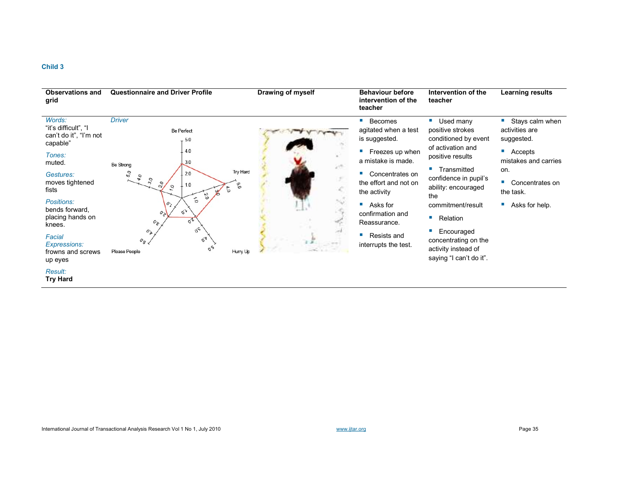| <b>Observations and</b><br>grid                                                                                                                                  | <b>Questionnaire and Driver Profile</b>                                                                                                                                                                                                        | Drawing of myself | <b>Behaviour before</b><br>intervention of the<br>teacher                                                                                                             | Intervention of the<br>teacher                                                                                                                                                                                 | <b>Learning results</b>                                                                                                                          |
|------------------------------------------------------------------------------------------------------------------------------------------------------------------|------------------------------------------------------------------------------------------------------------------------------------------------------------------------------------------------------------------------------------------------|-------------------|-----------------------------------------------------------------------------------------------------------------------------------------------------------------------|----------------------------------------------------------------------------------------------------------------------------------------------------------------------------------------------------------------|--------------------------------------------------------------------------------------------------------------------------------------------------|
| Words:<br>"it's difficult", "I<br>can't do it", "I'm not<br>capable"<br>Tones:<br>muted.<br>Gestures:<br>moves tightened<br>fists                                | <b>Driver</b><br><b>Be Perfect</b><br>5.0<br>4.0<br>3.0<br><b>Be Strong</b><br>Try Hard<br>50<br>2.0<br>$\sigma_{\phi}$<br>$30^{\circ}$<br>$\overline{c}$<br>1.0<br>c<br>$\overline{\phantom{a}}$<br>$\tilde{\circ}$<br>$\tilde{\sigma}$<br>50 |                   | ×<br>Becomes<br>agitated when a test<br>is suggested.<br>Freezes up when<br>×.<br>a mistake is made.<br>×<br>Concentrates on<br>the effort and not on<br>the activity | $\mathcal{L}_{\rm{eff}}$<br>Used many<br>positive strokes<br>conditioned by event<br>of activation and<br>positive results<br>Transmitted<br><b>COL</b><br>confidence in pupil's<br>ability: encouraged<br>the | $\blacksquare$<br>Stays calm when<br>activities are<br>suggested.<br>ш<br>Accepts<br>mistakes and carries<br>on.<br>Concentrates on<br>the task. |
| Positions:<br>bends forward,<br>placing hands on<br>knees.<br>Facial<br><b>Expressions:</b><br>frowns and screws<br>up eyes<br><b>Result:</b><br><b>Try Hard</b> | $\vec{o}$<br>O <sub>1</sub><br>۵,<br>$o_{\ge}$<br>ö <sup>2</sup><br>$O_{\mathcal{E}}$<br>$\sigma_c$<br>$O_{\mathbb{Z}}$<br>$O_{\mathcal{A}}$<br>$o_{\mathcal{S}}$<br>$\sigma_{\mathcal{S}}$<br>Hurry Up<br>Please People                       |                   | п<br>Asks for<br>confirmation and<br>Reassurance.<br>п<br>Resists and<br>interrupts the test.                                                                         | commitment/result<br><b>The State</b><br>Relation<br>Encouraged<br>concentrating on the<br>activity instead of<br>saying "I can't do it".                                                                      | Asks for help.                                                                                                                                   |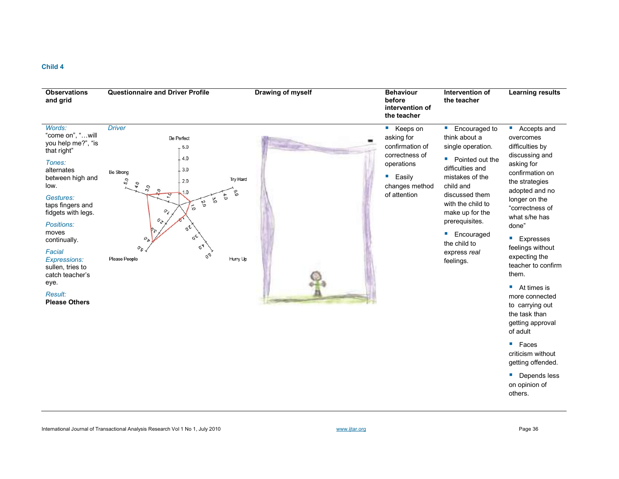| <b>Observations</b><br>and grid                                                                                                                                                                                                                                                                                               | <b>Questionnaire and Driver Profile</b>                                                                                                                                                                                                                                                                                                                                                     | Drawing of myself | <b>Behaviour</b><br>before<br>intervention of<br>the teacher                                                            | Intervention of<br>the teacher                                                                                                                                                                                                                                                    | <b>Learning results</b>                                                                                                                                                                                                                                                                                                                                                                                                                                                                                                        |
|-------------------------------------------------------------------------------------------------------------------------------------------------------------------------------------------------------------------------------------------------------------------------------------------------------------------------------|---------------------------------------------------------------------------------------------------------------------------------------------------------------------------------------------------------------------------------------------------------------------------------------------------------------------------------------------------------------------------------------------|-------------------|-------------------------------------------------------------------------------------------------------------------------|-----------------------------------------------------------------------------------------------------------------------------------------------------------------------------------------------------------------------------------------------------------------------------------|--------------------------------------------------------------------------------------------------------------------------------------------------------------------------------------------------------------------------------------------------------------------------------------------------------------------------------------------------------------------------------------------------------------------------------------------------------------------------------------------------------------------------------|
| Words:<br>"come on", "will<br>you help me?", "is<br>that right"<br>Tones:<br>alternates<br>between high and<br>low.<br>Gestures:<br>taps fingers and<br>fidgets with legs.<br>Positions:<br>moves<br>continually.<br>Facial<br>Expressions:<br>sullen, tries to<br>catch teacher's<br>eye.<br>Result:<br><b>Please Others</b> | <b>Driver</b><br><b>Be Perfect</b><br>5.0<br>4.0<br>3.0<br><b>Be Strong</b><br>Try Hard<br>50<br>2.0<br>4.0<br>30<br>6.0<br>1.0<br>$\mathcal{L}_{\text{O}}$<br>$\infty$<br>2.0<br>$\delta$<br>o <sub>i</sub><br>$o_{\ge}$<br>$\sigma^2$<br>$\delta^{\mathsf{c}}$<br>$o_{\mathbb{A}}$<br>$\sigma_{\mathbf{A}}$<br>$o_{\mathcal{S}}$ .<br>$\sigma_{\mathcal{O}}$<br>Please People<br>Hurry Up | <b>MARKET</b>     | ■ Keeps on<br>asking for<br>confirmation of<br>correctness of<br>operations<br>Easily<br>changes method<br>of attention | Encouraged to<br>×,<br>think about a<br>single operation.<br>Pointed out the<br>ш<br>difficulties and<br>mistakes of the<br>child and<br>discussed them<br>with the child to<br>make up for the<br>prerequisites.<br>Encouraged<br>ш<br>the child to<br>express real<br>feelings. | ■ Accepts and<br>overcomes<br>difficulties by<br>discussing and<br>asking for<br>confirmation on<br>the strategies<br>adopted and no<br>longer on the<br>"correctness of<br>what s/he has<br>done"<br><b>Expresses</b><br>feelings without<br>expecting the<br>teacher to confirm<br>them.<br>$\blacksquare$ At times is<br>more connected<br>to carrying out<br>the task than<br>getting approval<br>of adult<br>$\blacksquare$ Faces<br>criticism without<br>getting offended.<br>• Depends less<br>on opinion of<br>others. |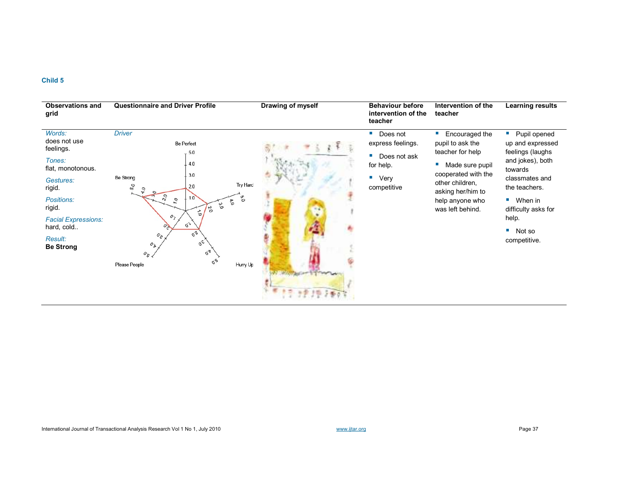| <b>Observations and</b><br>grid          | <b>Questionnaire and Driver Profile</b>                                                                                              | Drawing of myself | <b>Behaviour before</b><br>intervention of the<br>teacher | Intervention of the<br>teacher                                       | Learning results                                       |
|------------------------------------------|--------------------------------------------------------------------------------------------------------------------------------------|-------------------|-----------------------------------------------------------|----------------------------------------------------------------------|--------------------------------------------------------|
| Words:<br>does not use<br>feelings.      | <b>Driver</b><br><b>Be Perfect</b><br>5.0                                                                                            |                   | Does not<br>express feelings.<br>Does not ask             | Encouraged the<br><b>COL</b><br>pupil to ask the<br>teacher for help | • Pupil opened<br>up and expressed<br>feelings (laughs |
| Tones:<br>flat, monotonous.              | .4.0                                                                                                                                 |                   | for help.                                                 | Made sure pupil<br>cooperated with the                               | and jokes), both<br>towards                            |
| Gestures:<br>rigid.                      | 3.0<br><b>Be Strong</b><br>Try Hard<br>$\overline{50}$<br>2.0                                                                        |                   | $\blacksquare$ Very<br>competitive                        | other children.<br>asking her/him to                                 | classmates and<br>the teachers.                        |
| Positions:<br>rigid.                     | $\overline{\mathcal{S}}$<br>6.9<br>10<br>o,<br>$\alpha$ .0<br>ο.<br>Ο<br>ρs<br>$\dot{\circ}$                                         |                   |                                                           | help anyone who<br>was left behind.                                  | When in<br>and the<br>difficulty asks for              |
| <b>Facial Expressions:</b><br>hard, cold | o <sub>j</sub><br>$\varphi$                                                                                                          |                   |                                                           |                                                                      | help.<br>W.<br>Not so                                  |
| Result:<br><b>Be Strong</b>              | $\delta^{\text{L}}$<br>$o_{\hat{\mathcal{E}}}$<br>$\delta^{\mathsf{c}}$<br>$O_{\mathbb{Z}}$<br>$\sigma_{\mathbf{A}}$<br>$O_{S\prec}$ |                   |                                                           |                                                                      | competitive.                                           |
|                                          | $\sigma_{\mathcal{O}}$<br>Hurry Up<br>Please People                                                                                  |                   |                                                           |                                                                      |                                                        |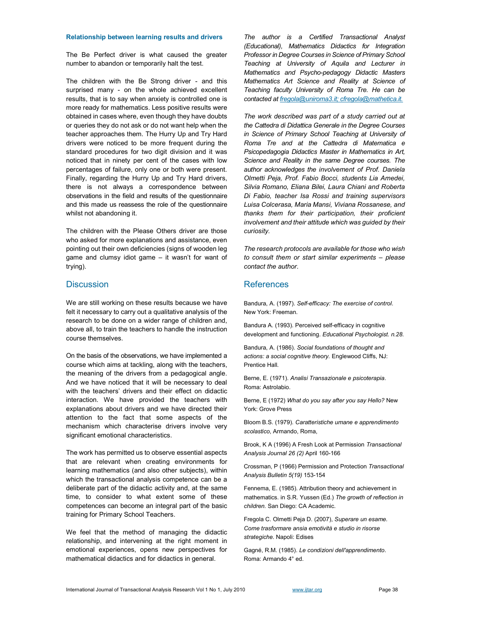#### Relationship between learning results and drivers

The Be Perfect driver is what caused the greater number to abandon or temporarily halt the test.

The children with the Be Strong driver - and this surprised many - on the whole achieved excellent results, that is to say when anxiety is controlled one is more ready for mathematics. Less positive results were obtained in cases where, even though they have doubts or queries they do not ask or do not want help when the teacher approaches them. The Hurry Up and Try Hard drivers were noticed to be more frequent during the standard procedures for two digit division and it was noticed that in ninety per cent of the cases with low percentages of failure, only one or both were present. Finally, regarding the Hurry Up and Try Hard drivers, there is not always a correspondence between observations in the field and results of the questionnaire and this made us reassess the role of the questionnaire whilst not abandoning it.

The children with the Please Others driver are those who asked for more explanations and assistance, even pointing out their own deficiencies (signs of wooden leg game and clumsy idiot game – it wasn't for want of trying).

### **Discussion**

We are still working on these results because we have felt it necessary to carry out a qualitative analysis of the research to be done on a wider range of children and, above all, to train the teachers to handle the instruction course themselves.

On the basis of the observations, we have implemented a course which aims at tackling, along with the teachers, the meaning of the drivers from a pedagogical angle. And we have noticed that it will be necessary to deal with the teachers' drivers and their effect on didactic interaction. We have provided the teachers with explanations about drivers and we have directed their attention to the fact that some aspects of the mechanism which characterise drivers involve very significant emotional characteristics.

The work has permitted us to observe essential aspects that are relevant when creating environments for learning mathematics (and also other subjects), within which the transactional analysis competence can be a deliberate part of the didactic activity and, at the same time, to consider to what extent some of these competences can become an integral part of the basic training for Primary School Teachers.

We feel that the method of managing the didactic relationship, and intervening at the right moment in emotional experiences, opens new perspectives for mathematical didactics and for didactics in general.

The author is a Certified Transactional Analyst (Educational), Mathematics Didactics for Integration Professor in Degree Courses in Science of Primary School Teaching at University of Aquila and Lecturer in Mathematics and Psycho-pedagogy Didactic Masters Mathematics Art Science and Reality at Science of Teaching faculty University of Roma Tre. He can be contacted at fregola@uniroma3.it; cfregola@mathetica.it.

The work described was part of a study carried out at the Cattedra di Didattica Generale in the Degree Courses in Science of Primary School Teaching at University of Roma Tre and at the Cattedra di Matematica e Psicopedagogia Didactics Master in Mathematics in Art, Science and Reality in the same Degree courses. The author acknowledges the involvement of Prof. Daniela Olmetti Peja, Prof. Fabio Bocci, students Lia Amedei, Silvia Romano, Eliana Bilei, Laura Chiani and Roberta Di Fabio, teacher Isa Rossi and training supervisors Luisa Colcerasa, Maria Mansi, Viviana Rossanese, and thanks them for their participation, their proficient involvement and their attitude which was guided by their curiosity.

The research protocols are available for those who wish to consult them or start similar experiments – please contact the author.

## **References**

Bandura, A. (1997). Self-efficacy: The exercise of control. New York: Freeman.

Bandura A. (1993). Perceived self-efficacy in cognitive development and functioning. Educational Psychologist. n.28.

Bandura, A. (1986). Social foundations of thought and actions: a social cognitive theory. Englewood Cliffs, NJ: Prentice Hall.

Berne, E. (1971). Analisi Transazionale e psicoterapia. Roma: Astrolabio.

Berne, E (1972) What do you say after you say Hello? New York: Grove Press

Bloom B.S. (1979). Caratteristiche umane e apprendimento scolastico, Armando, Roma,

Brook, K A (1996) A Fresh Look at Permission Transactional Analysis Journal 26 (2) April 160-166

Crossman, P (1966) Permission and Protection Transactional Analysis Bulletin 5(19) 153-154

Fennema, E. (1985). Attribution theory and achievement in mathematics. in S.R. Yussen (Ed.) The growth of reflection in children. San Diego: CA Academic.

Fregola C. Olmetti Peja D. (2007), Superare un esame. Come trasformare ansia emotività e studio in risorse strategiche. Napoli: Edises

Gagné, R.M. (1985). Le condizioni dell'apprendimento. Roma: Armando 4° ed.